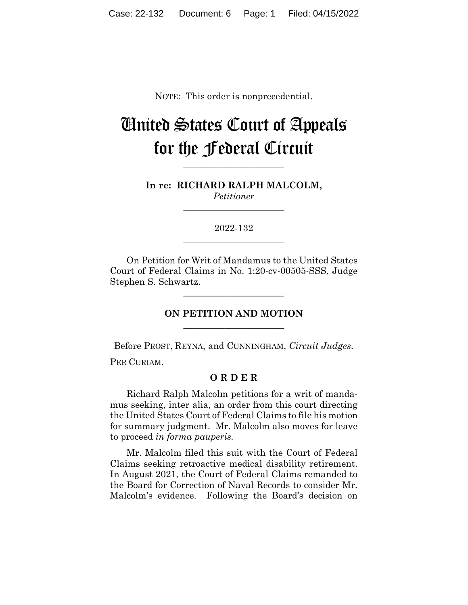NOTE: This order is nonprecedential.

## United States Court of Appeals for the Federal Circuit

**\_\_\_\_\_\_\_\_\_\_\_\_\_\_\_\_\_\_\_\_\_\_**

**In re: RICHARD RALPH MALCOLM,** *Petitioner*

**\_\_\_\_\_\_\_\_\_\_\_\_\_\_\_\_\_\_\_\_\_\_**

2022-132 **\_\_\_\_\_\_\_\_\_\_\_\_\_\_\_\_\_\_\_\_\_\_**

On Petition for Writ of Mandamus to the United States Court of Federal Claims in No. 1:20-cv-00505-SSS, Judge Stephen S. Schwartz.

**\_\_\_\_\_\_\_\_\_\_\_\_\_\_\_\_\_\_\_\_\_\_**

## **ON PETITION AND MOTION \_\_\_\_\_\_\_\_\_\_\_\_\_\_\_\_\_\_\_\_\_\_**

Before PROST, REYNA, and CUNNINGHAM, *Circuit Judges*.

PER CURIAM.

## **O R D E R**

Richard Ralph Malcolm petitions for a writ of mandamus seeking, inter alia, an order from this court directing the United States Court of Federal Claims to file his motion for summary judgment. Mr. Malcolm also moves for leave to proceed *in forma pauperis.*

Mr. Malcolm filed this suit with the Court of Federal Claims seeking retroactive medical disability retirement. In August 2021, the Court of Federal Claims remanded to the Board for Correction of Naval Records to consider Mr. Malcolm's evidence. Following the Board's decision on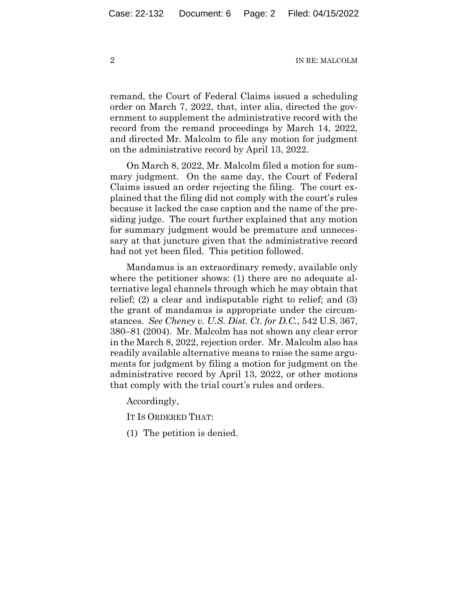2 IN RE: MALCOLM

remand, the Court of Federal Claims issued a scheduling order on March 7, 2022, that, inter alia, directed the government to supplement the administrative record with the record from the remand proceedings by March 14, 2022, and directed Mr. Malcolm to file any motion for judgment on the administrative record by April 13, 2022.

On March 8, 2022, Mr. Malcolm filed a motion for summary judgment. On the same day, the Court of Federal Claims issued an order rejecting the filing. The court explained that the filing did not comply with the court's rules because it lacked the case caption and the name of the presiding judge. The court further explained that any motion for summary judgment would be premature and unnecessary at that juncture given that the administrative record had not yet been filed. This petition followed.

Mandamus is an extraordinary remedy, available only where the petitioner shows: (1) there are no adequate alternative legal channels through which he may obtain that relief; (2) a clear and indisputable right to relief; and (3) the grant of mandamus is appropriate under the circumstances. *See Cheney v. U.S. Dist. Ct. for D.C.*, 542 U.S. 367, 380–81 (2004). Mr. Malcolm has not shown any clear error in the March 8, 2022, rejection order. Mr. Malcolm also has readily available alternative means to raise the same arguments for judgment by filing a motion for judgment on the administrative record by April 13, 2022, or other motions that comply with the trial court's rules and orders.

Accordingly,

IT IS ORDERED THAT:

(1) The petition is denied.